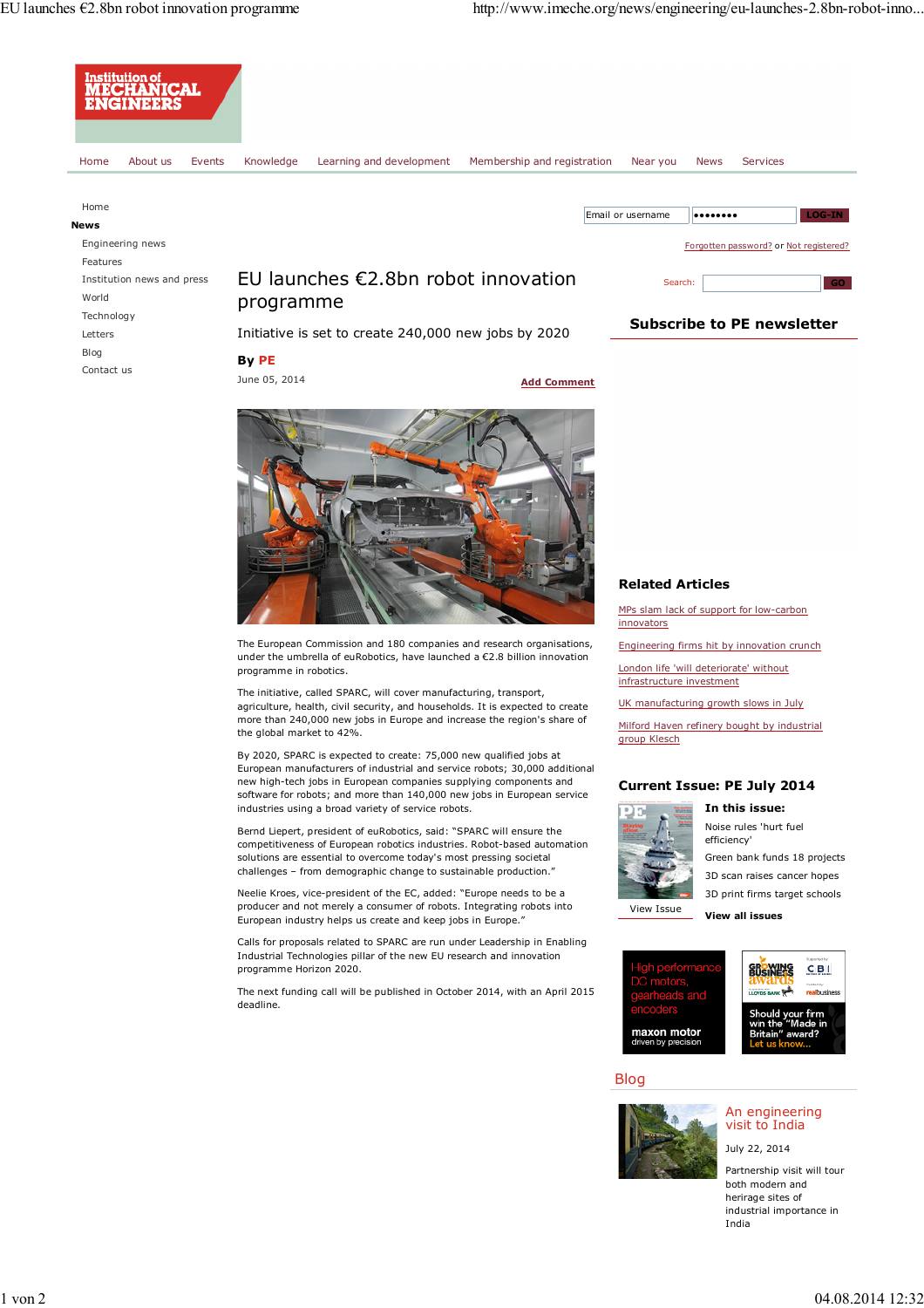